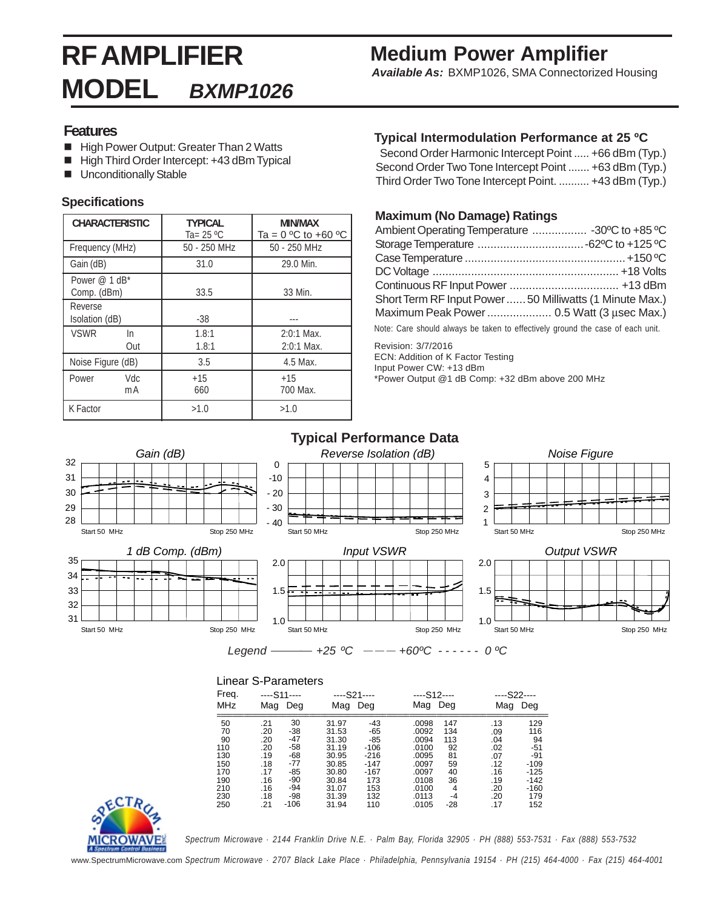# **RF AMPLIFIER MODEL** *BXMP1026*

# **Medium Power Amplifier**

 *Available As:* BXMP1026, SMA Connectorized Housing

#### **Features**

- High Power Output: Greater Than 2 Watts
- High Third Order Intercept: +43 dBm Typical
- **Unconditionally Stable**

#### **Specifications**

| <b>CHARACTERISTIC</b>        | <b>TYPICAL</b><br>Ta= 25 °C | MIN/MAX<br>Ta = $0 °C$ to +60 $°C$ |  |  |
|------------------------------|-----------------------------|------------------------------------|--|--|
| Frequency (MHz)              | $50 - 250$ MHz              | $50 - 250$ MHz                     |  |  |
| Gain (dB)                    | 31.0                        | 29.0 Min.                          |  |  |
| Power @ 1 dB*<br>Comp. (dBm) | 33.5                        | 33 Min.                            |  |  |
| Reverse<br>Isolation (dB)    | -38                         |                                    |  |  |
| <b>VSWR</b><br>In<br>Out     | 1.8:1<br>1.8:1              | $2:0:1$ Max.<br>$2:0:1$ Max.       |  |  |
| Noise Figure (dB)            | 3.5                         | 4.5 Max.                           |  |  |
| Vdc<br>Power<br>mA           | $+15$<br>660                | $+15$<br>700 Max.                  |  |  |
| K Factor                     | >1.0                        | >1.0                               |  |  |

#### **Typical Intermodulation Performance at 25 ºC**

Second Order Harmonic Intercept Point ..... +66 dBm (Typ.) Second Order Two Tone Intercept Point ....... +63 dBm (Typ.) Third Order Two Tone Intercept Point. .......... +43 dBm (Typ.)

#### **Maximum (No Damage) Ratings**

| Ambient Operating Temperature  -30°C to +85 °C         |  |
|--------------------------------------------------------|--|
|                                                        |  |
|                                                        |  |
|                                                        |  |
|                                                        |  |
| Short Term RF Input Power50 Milliwatts (1 Minute Max.) |  |
| Maximum Peak Power 0.5 Watt (3 usec Max.)              |  |
|                                                        |  |

Note: Care should always be taken to effectively ground the case of each unit.

Revision: 3/7/2016 ECN: Addition of K Factor Testing Input Power CW: +13 dBm \*Power Output @1 dB Comp: +32 dBm above 200 MHz

#### **Typical Performance Data**



#### Linear S-Parameters

| Freq.<br><b>MHz</b> | $--$ S11 $--$<br>Mag<br>Deg |       | ----S21----<br>Deg<br>Mag |        | Mag   | ----S12----<br>Deg |     | ----S22----<br>Mag<br>Deg |  |
|---------------------|-----------------------------|-------|---------------------------|--------|-------|--------------------|-----|---------------------------|--|
| 50                  | .21                         | 30    | 31.97                     | $-43$  | .0098 | 147                | .13 | 129                       |  |
| 70                  | .20                         | -38   | 31.53                     | $-65$  | .0092 | 134                | .09 | 116                       |  |
| 90                  | .20                         | $-47$ | 31.30                     | $-85$  | .0094 | 113                | .04 | 94                        |  |
| 110                 | .20                         | $-58$ | 31.19                     | -106   | .0100 | 92                 | .02 | $-51$                     |  |
| 130                 | .19                         | -68   | 30.95                     | $-216$ | .0095 | 81                 | .07 | $-91$                     |  |
| 150                 | .18                         | -77   | 30.85                     | -147   | .0097 | 59                 | .12 | $-109$                    |  |
| 170                 | .17                         | -85   | 30.80                     | -167   | .0097 | 40                 | .16 | -125                      |  |
| 190                 | .16                         | $-90$ | 30.84                     | 173    | .0108 | 36                 | .19 | -142                      |  |
| 210                 | .16                         | $-94$ | 31.07                     | 153    | .0100 | 4                  | .20 | -160                      |  |
| 230                 | .18                         | -98   | 31.39                     | 132    | .0113 | $-4$               | .20 | 179                       |  |
| 250                 | .21                         | -106  | 31.94                     | 110    | .0105 | -28                | .17 | 152                       |  |



*Spectrum Microwave · 2144 Franklin Drive N.E. · Palm Bay, Florida 32905 · PH (888) 553-7531 · Fax (888) 553-7532*

www.SpectrumMicrowave.com *Spectrum Microwave · 2707 Black Lake Place · Philadelphia, Pennsylvania 19154 · PH (215) 464-4000 · Fax (215) 464-4001*